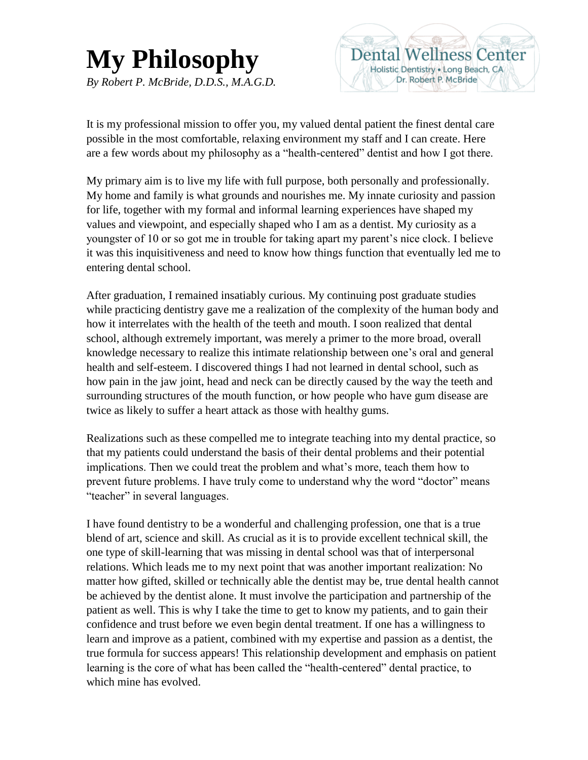## **My Philosophy** *By Robert P. McBride, D.D.S., M.A.G.D.*



It is my professional mission to offer you, my valued dental patient the finest dental care possible in the most comfortable, relaxing environment my staff and I can create. Here are a few words about my philosophy as a "health-centered" dentist and how I got there.

My primary aim is to live my life with full purpose, both personally and professionally. My home and family is what grounds and nourishes me. My innate curiosity and passion for life, together with my formal and informal learning experiences have shaped my values and viewpoint, and especially shaped who I am as a dentist. My curiosity as a youngster of 10 or so got me in trouble for taking apart my parent's nice clock. I believe it was this inquisitiveness and need to know how things function that eventually led me to entering dental school.

After graduation, I remained insatiably curious. My continuing post graduate studies while practicing dentistry gave me a realization of the complexity of the human body and how it interrelates with the health of the teeth and mouth. I soon realized that dental school, although extremely important, was merely a primer to the more broad, overall knowledge necessary to realize this intimate relationship between one's oral and general health and self-esteem. I discovered things I had not learned in dental school, such as how pain in the jaw joint, head and neck can be directly caused by the way the teeth and surrounding structures of the mouth function, or how people who have gum disease are twice as likely to suffer a heart attack as those with healthy gums.

Realizations such as these compelled me to integrate teaching into my dental practice, so that my patients could understand the basis of their dental problems and their potential implications. Then we could treat the problem and what's more, teach them how to prevent future problems. I have truly come to understand why the word "doctor" means "teacher" in several languages.

I have found dentistry to be a wonderful and challenging profession, one that is a true blend of art, science and skill. As crucial as it is to provide excellent technical skill, the one type of skill-learning that was missing in dental school was that of interpersonal relations. Which leads me to my next point that was another important realization: No matter how gifted, skilled or technically able the dentist may be, true dental health cannot be achieved by the dentist alone. It must involve the participation and partnership of the patient as well. This is why I take the time to get to know my patients, and to gain their confidence and trust before we even begin dental treatment. If one has a willingness to learn and improve as a patient, combined with my expertise and passion as a dentist, the true formula for success appears! This relationship development and emphasis on patient learning is the core of what has been called the "health-centered" dental practice, to which mine has evolved.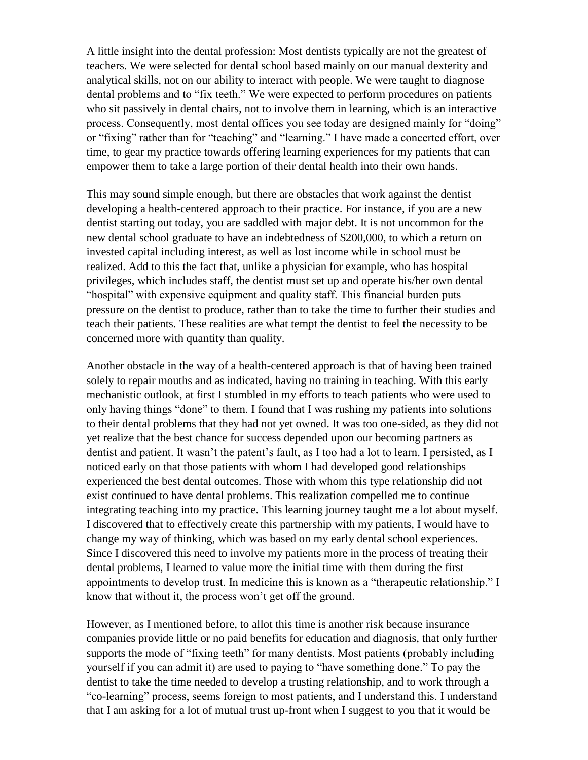A little insight into the dental profession: Most dentists typically are not the greatest of teachers. We were selected for dental school based mainly on our manual dexterity and analytical skills, not on our ability to interact with people. We were taught to diagnose dental problems and to "fix teeth." We were expected to perform procedures on patients who sit passively in dental chairs, not to involve them in learning, which is an interactive process. Consequently, most dental offices you see today are designed mainly for "doing" or "fixing" rather than for "teaching" and "learning." I have made a concerted effort, over time, to gear my practice towards offering learning experiences for my patients that can empower them to take a large portion of their dental health into their own hands.

This may sound simple enough, but there are obstacles that work against the dentist developing a health-centered approach to their practice. For instance, if you are a new dentist starting out today, you are saddled with major debt. It is not uncommon for the new dental school graduate to have an indebtedness of \$200,000, to which a return on invested capital including interest, as well as lost income while in school must be realized. Add to this the fact that, unlike a physician for example, who has hospital privileges, which includes staff, the dentist must set up and operate his/her own dental "hospital" with expensive equipment and quality staff. This financial burden puts pressure on the dentist to produce, rather than to take the time to further their studies and teach their patients. These realities are what tempt the dentist to feel the necessity to be concerned more with quantity than quality.

Another obstacle in the way of a health-centered approach is that of having been trained solely to repair mouths and as indicated, having no training in teaching. With this early mechanistic outlook, at first I stumbled in my efforts to teach patients who were used to only having things "done" to them. I found that I was rushing my patients into solutions to their dental problems that they had not yet owned. It was too one-sided, as they did not yet realize that the best chance for success depended upon our becoming partners as dentist and patient. It wasn't the patent's fault, as I too had a lot to learn. I persisted, as I noticed early on that those patients with whom I had developed good relationships experienced the best dental outcomes. Those with whom this type relationship did not exist continued to have dental problems. This realization compelled me to continue integrating teaching into my practice. This learning journey taught me a lot about myself. I discovered that to effectively create this partnership with my patients, I would have to change my way of thinking, which was based on my early dental school experiences. Since I discovered this need to involve my patients more in the process of treating their dental problems, I learned to value more the initial time with them during the first appointments to develop trust. In medicine this is known as a "therapeutic relationship." I know that without it, the process won't get off the ground.

However, as I mentioned before, to allot this time is another risk because insurance companies provide little or no paid benefits for education and diagnosis, that only further supports the mode of "fixing teeth" for many dentists. Most patients (probably including yourself if you can admit it) are used to paying to "have something done." To pay the dentist to take the time needed to develop a trusting relationship, and to work through a "co-learning" process, seems foreign to most patients, and I understand this. I understand that I am asking for a lot of mutual trust up-front when I suggest to you that it would be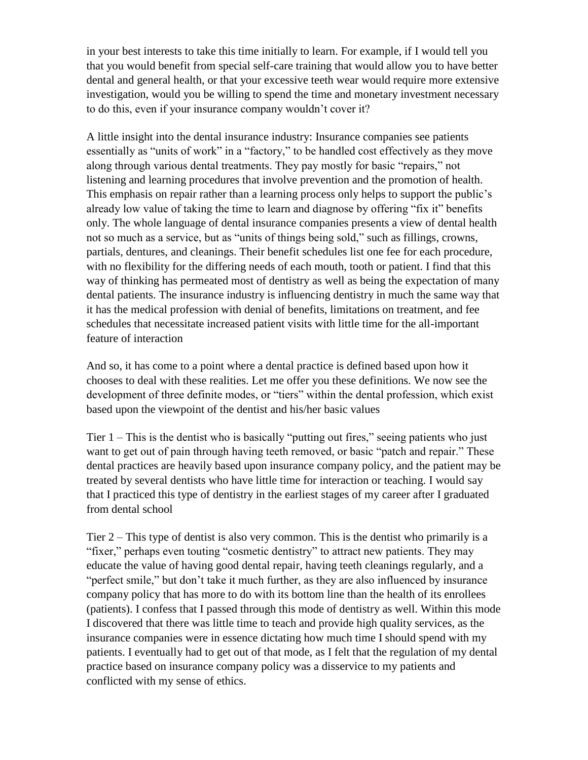in your best interests to take this time initially to learn. For example, if I would tell you that you would benefit from special self-care training that would allow you to have better dental and general health, or that your excessive teeth wear would require more extensive investigation, would you be willing to spend the time and monetary investment necessary to do this, even if your insurance company wouldn't cover it?

A little insight into the dental insurance industry: Insurance companies see patients essentially as "units of work" in a "factory," to be handled cost effectively as they move along through various dental treatments. They pay mostly for basic "repairs," not listening and learning procedures that involve prevention and the promotion of health. This emphasis on repair rather than a learning process only helps to support the public's already low value of taking the time to learn and diagnose by offering "fix it" benefits only. The whole language of dental insurance companies presents a view of dental health not so much as a service, but as "units of things being sold," such as fillings, crowns, partials, dentures, and cleanings. Their benefit schedules list one fee for each procedure, with no flexibility for the differing needs of each mouth, tooth or patient. I find that this way of thinking has permeated most of dentistry as well as being the expectation of many dental patients. The insurance industry is influencing dentistry in much the same way that it has the medical profession with denial of benefits, limitations on treatment, and fee schedules that necessitate increased patient visits with little time for the all-important feature of interaction

And so, it has come to a point where a dental practice is defined based upon how it chooses to deal with these realities. Let me offer you these definitions. We now see the development of three definite modes, or "tiers" within the dental profession, which exist based upon the viewpoint of the dentist and his/her basic values

Tier 1 – This is the dentist who is basically "putting out fires," seeing patients who just want to get out of pain through having teeth removed, or basic "patch and repair." These dental practices are heavily based upon insurance company policy, and the patient may be treated by several dentists who have little time for interaction or teaching. I would say that I practiced this type of dentistry in the earliest stages of my career after I graduated from dental school

Tier 2 – This type of dentist is also very common. This is the dentist who primarily is a "fixer," perhaps even touting "cosmetic dentistry" to attract new patients. They may educate the value of having good dental repair, having teeth cleanings regularly, and a "perfect smile," but don't take it much further, as they are also influenced by insurance company policy that has more to do with its bottom line than the health of its enrollees (patients). I confess that I passed through this mode of dentistry as well. Within this mode I discovered that there was little time to teach and provide high quality services, as the insurance companies were in essence dictating how much time I should spend with my patients. I eventually had to get out of that mode, as I felt that the regulation of my dental practice based on insurance company policy was a disservice to my patients and conflicted with my sense of ethics.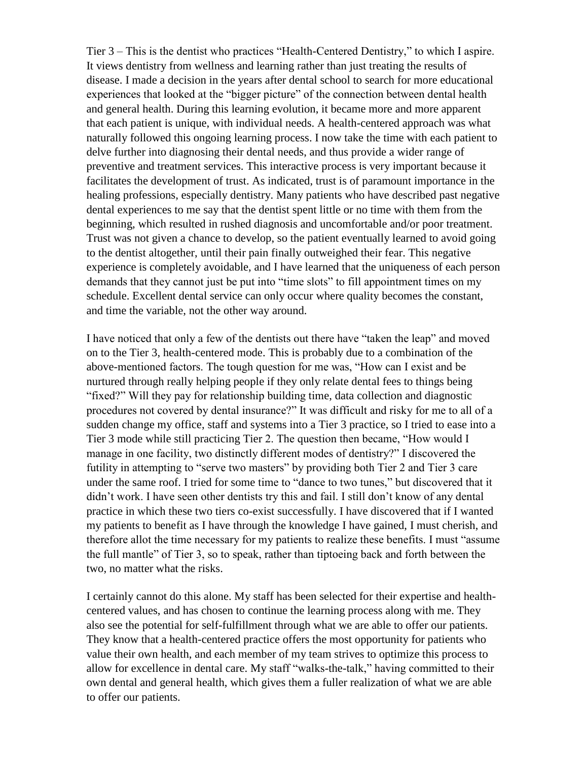Tier 3 – This is the dentist who practices "Health-Centered Dentistry," to which I aspire. It views dentistry from wellness and learning rather than just treating the results of disease. I made a decision in the years after dental school to search for more educational experiences that looked at the "bigger picture" of the connection between dental health and general health. During this learning evolution, it became more and more apparent that each patient is unique, with individual needs. A health-centered approach was what naturally followed this ongoing learning process. I now take the time with each patient to delve further into diagnosing their dental needs, and thus provide a wider range of preventive and treatment services. This interactive process is very important because it facilitates the development of trust. As indicated, trust is of paramount importance in the healing professions, especially dentistry. Many patients who have described past negative dental experiences to me say that the dentist spent little or no time with them from the beginning, which resulted in rushed diagnosis and uncomfortable and/or poor treatment. Trust was not given a chance to develop, so the patient eventually learned to avoid going to the dentist altogether, until their pain finally outweighed their fear. This negative experience is completely avoidable, and I have learned that the uniqueness of each person demands that they cannot just be put into "time slots" to fill appointment times on my schedule. Excellent dental service can only occur where quality becomes the constant, and time the variable, not the other way around.

I have noticed that only a few of the dentists out there have "taken the leap" and moved on to the Tier 3, health-centered mode. This is probably due to a combination of the above-mentioned factors. The tough question for me was, "How can I exist and be nurtured through really helping people if they only relate dental fees to things being "fixed?" Will they pay for relationship building time, data collection and diagnostic procedures not covered by dental insurance?" It was difficult and risky for me to all of a sudden change my office, staff and systems into a Tier 3 practice, so I tried to ease into a Tier 3 mode while still practicing Tier 2. The question then became, "How would I manage in one facility, two distinctly different modes of dentistry?" I discovered the futility in attempting to "serve two masters" by providing both Tier 2 and Tier 3 care under the same roof. I tried for some time to "dance to two tunes," but discovered that it didn't work. I have seen other dentists try this and fail. I still don't know of any dental practice in which these two tiers co-exist successfully. I have discovered that if I wanted my patients to benefit as I have through the knowledge I have gained, I must cherish, and therefore allot the time necessary for my patients to realize these benefits. I must "assume the full mantle" of Tier 3, so to speak, rather than tiptoeing back and forth between the two, no matter what the risks.

I certainly cannot do this alone. My staff has been selected for their expertise and healthcentered values, and has chosen to continue the learning process along with me. They also see the potential for self-fulfillment through what we are able to offer our patients. They know that a health-centered practice offers the most opportunity for patients who value their own health, and each member of my team strives to optimize this process to allow for excellence in dental care. My staff "walks-the-talk," having committed to their own dental and general health, which gives them a fuller realization of what we are able to offer our patients.